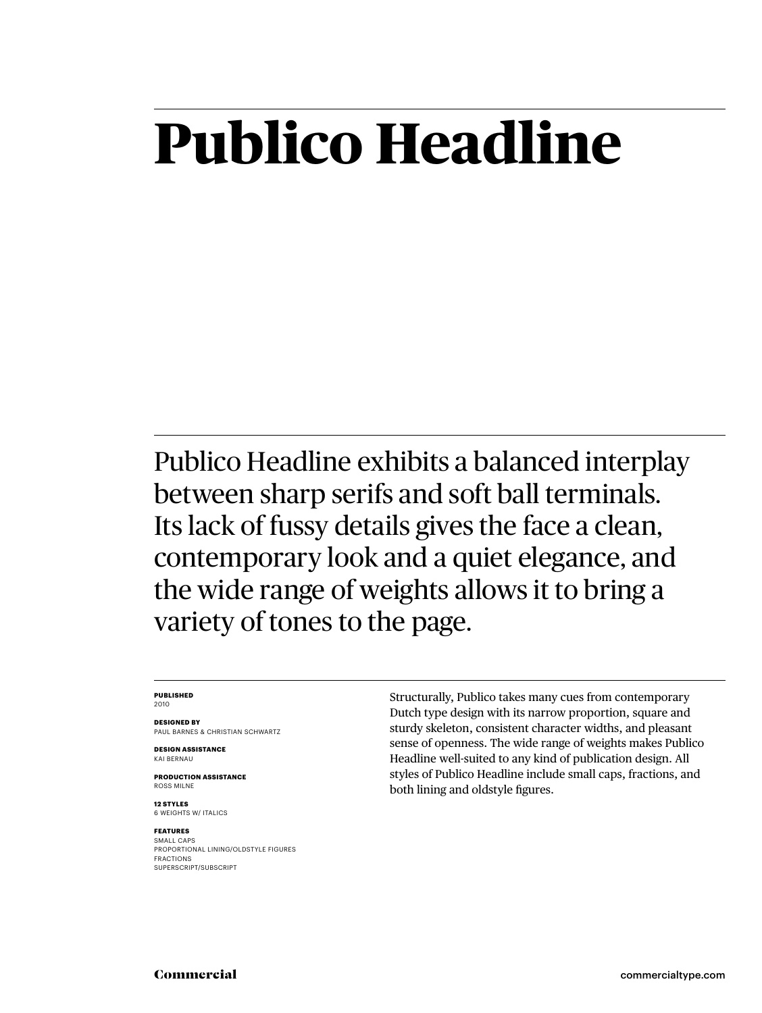## **Publico Headline**

Publico Headline exhibits a balanced interplay between sharp serifs and soft ball terminals. Its lack of fussy details gives the face a clean, contemporary look and a quiet elegance, and the wide range of weights allows it to bring a variety of tones to the page.

### **PUBLISHED** 2010

**DESIGNED BY** PAUL BARNES & CHRISTIAN SCHWARTZ

**DESIGN ASSISTANCE** KAI BERNAU

**PRODUCTION ASSISTANCE** ROSS MILNE

**12 STYLES** 6 WEIGHTS W/ ITALICS

### **FEATURES**

SMALL CAPS PROPORTIONAL LINING/OLDSTYLE FIGURES FRACTIONS SUPERSCRIPT/SUBSCRIPT

Structurally, Publico takes many cues from contemporary Dutch type design with its narrow proportion, square and sturdy skeleton, consistent character widths, and pleasant sense of openness. The wide range of weights makes Publico Headline well-suited to any kind of publication design. All styles of Publico Headline include small caps, fractions, and both lining and oldstyle figures.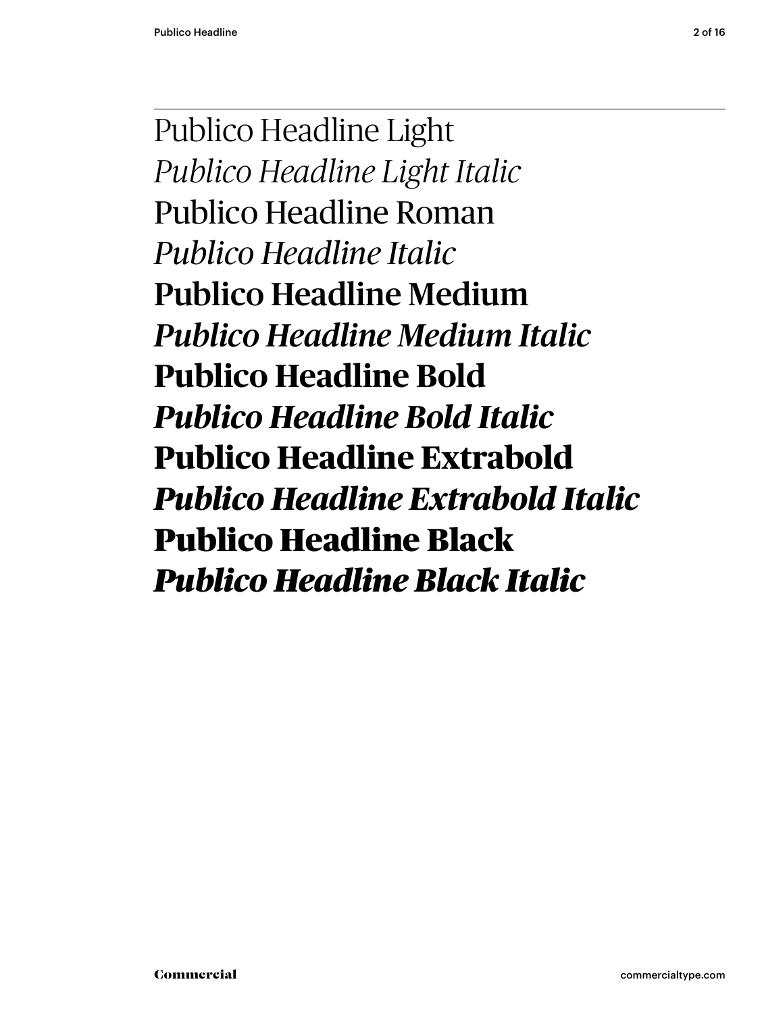Publico Headline Light *Publico Headline Light Italic* Publico Headline Roman *Publico Headline Italic* Publico Headline Medium *Publico Headline Medium Italic* **Publico Headline Bold** *Publico Headline Bold Italic* **Publico Headline Extrabold** *Publico Headline Extrabold Italic* Publico Headline Black *Publico Headline Black Italic*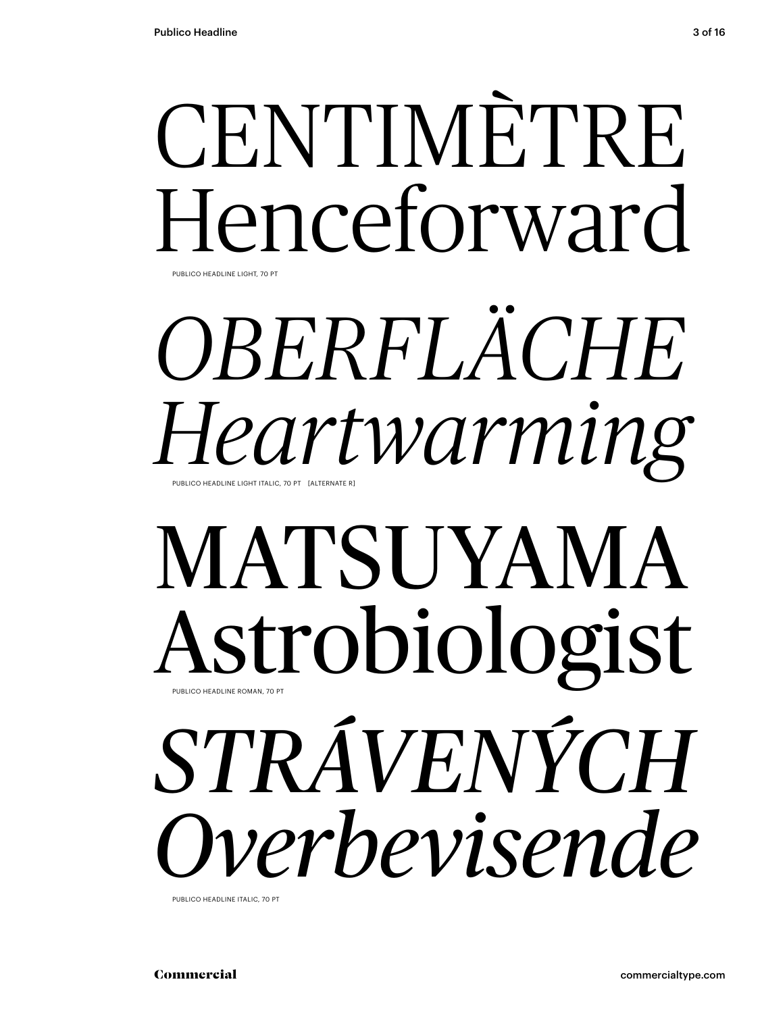## CENTIMÈTRE Henceforward PUBLICO HEADLINE LIGHT, 70 PT

## *OBERFLÄCHE Heartwarming* PUBLICO HEADLINE LIGHT ITALIC, 70 PT [ALTERNATE F

## MATSUYAMA Astrobiologist PUBLICO HEADLINE ROMAN, 70 PT *STRÁVENÝCH Overbevisende*

PUBLICO HEADLINE ITALIC, 70 PT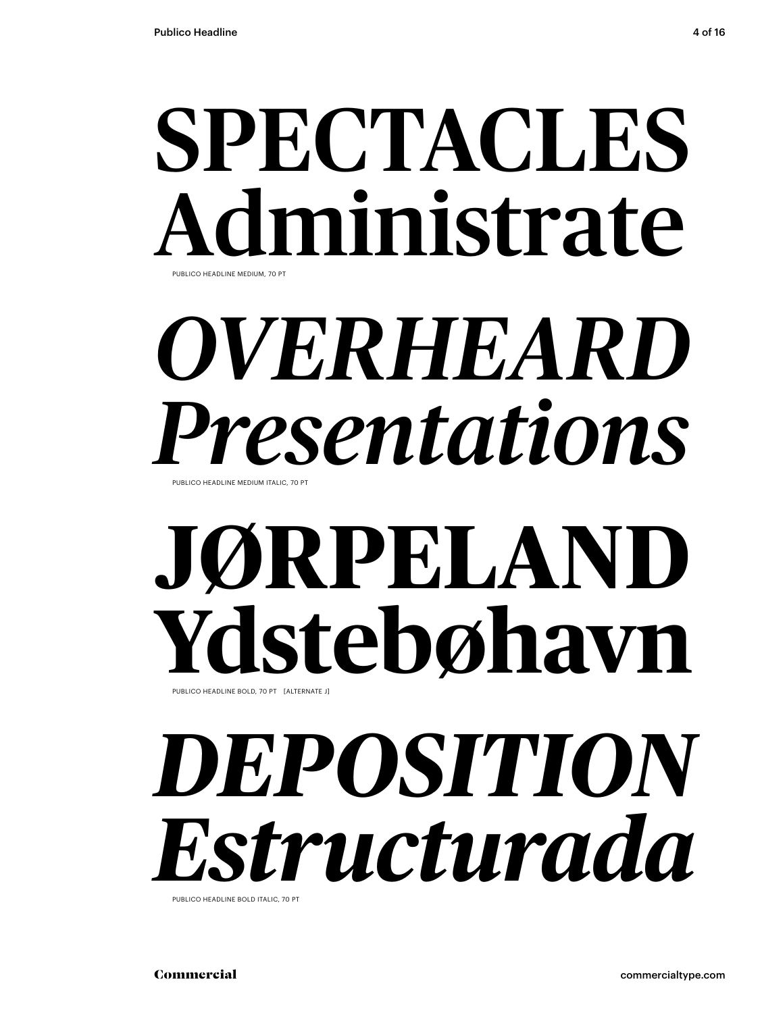## SPECTACLES ninistrate PUBLICO HEADLINE MEDIUM, 70 PT

# *OVERHEARD Presentations*

PUBLICO HEADLINE MEDIUM ITALIC, 70 PT

# **JØRPELAND** Ydsuco HEADLINE BOLD, 70 PT [ALTERNATE J]

# *DEPOSITION Estructurada*

PUBLICO HEADLINE BOLD ITALIC, 70 PT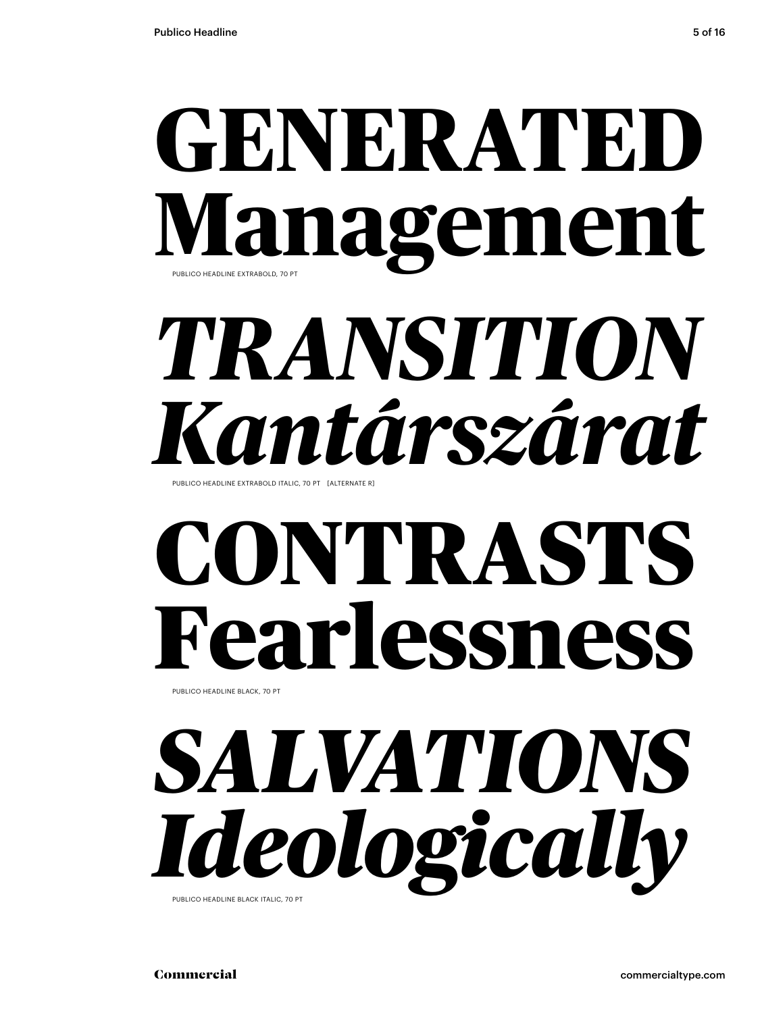## **GENERATED Management** PUBLICO HEADLINE EXTRABOLD, 70 PT

## *TRANSITION Kantárszárat* PUBLICO HEADLINE EXTRABOLD ITALIC, 70 PT [ALTERNATE R]

## CONTRASTS Fearlessness PUBLICO HEADLINE BLACK, 70 PT

*SALVATIONS Ideologically* PUBLICO HEADLINE BLACK ITALIC, 70 PT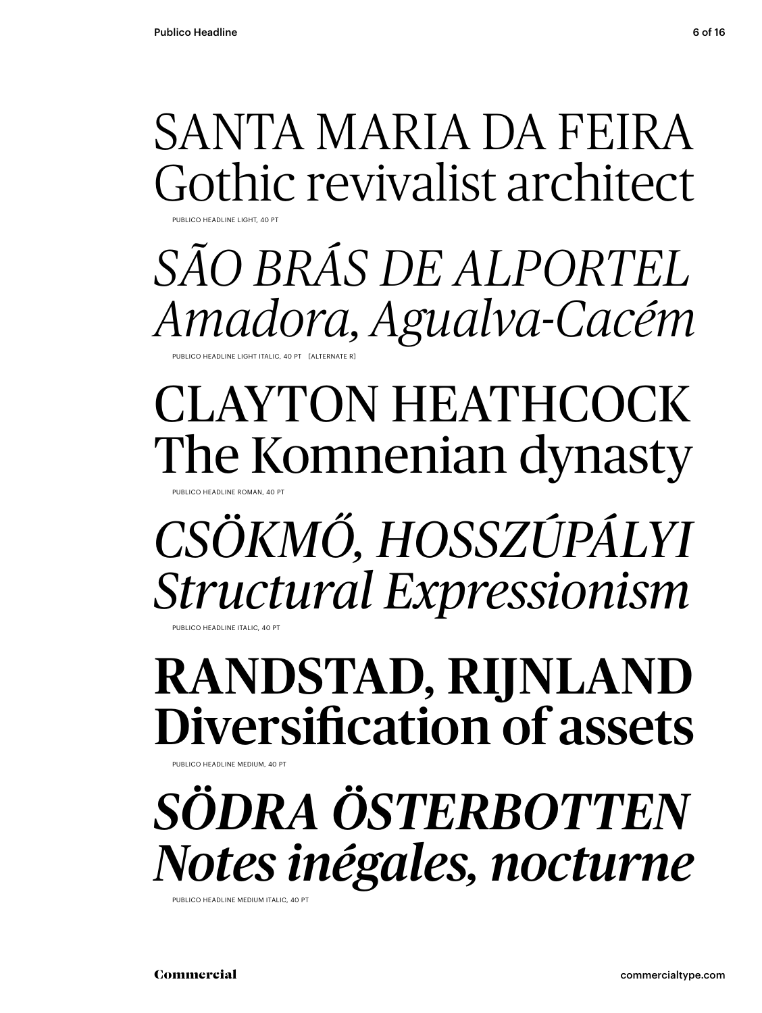SANTA MARIA DA FEIRA Gothic revivalist architect

### *SÃO BRÁS DE ALPORTEL Amadora, Agualva-Cacém* PUBLICO HEADLINE LIGHT ITALIC, 40 PT [ALTERNATE R]

CLAYTON HEATHCOCK The Komnenian dynasty

UBLICO HEADLINE ROMAN, 40

PUBLICO HEADLINE LIGHT, 40 PT

### *CSÖKMŐ, HOSSZÚPÁLYI Structural Expressionism*

**IBLICO HEADLINE ITALIC, 40 PT** 

### RANDSTAD, RIJNLAND Diversification of assets

**ILICO HEADLINE MEDIUM, 40 F** 

### *SÖDRA ÖSTERBOTTEN Notes inégales, nocturne*

PUBLICO HEADLINE MEDIUM ITALIC, 40 PT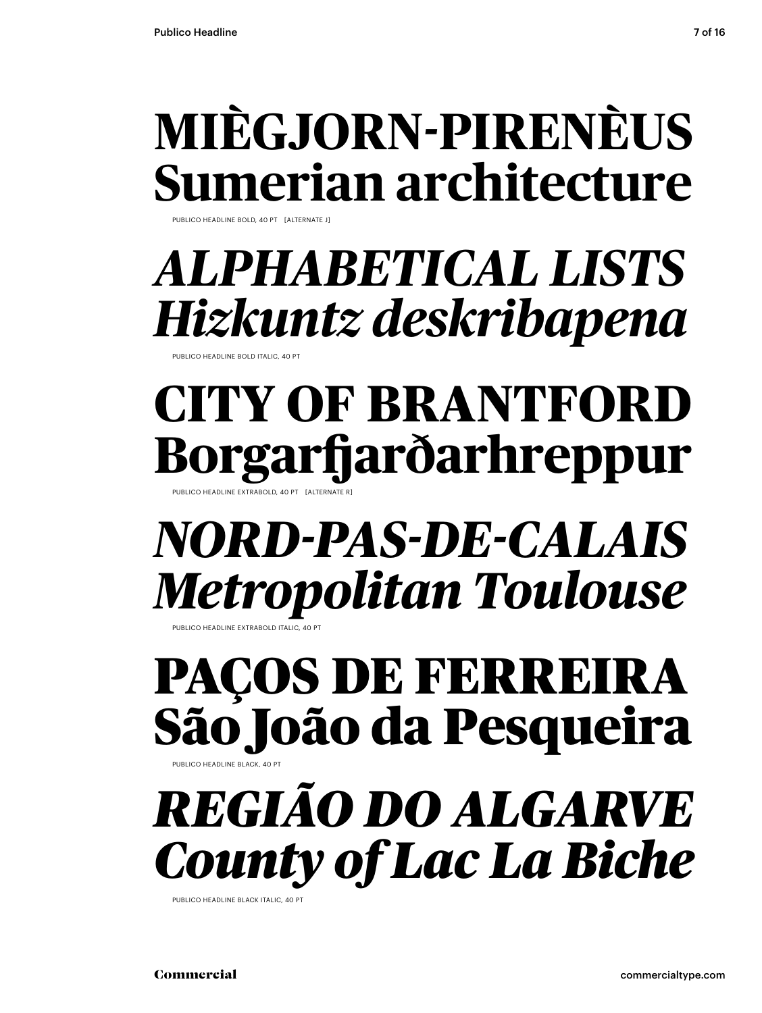### **MIÈGJORN-PIRENÈUS Sumerian architecture**

PUBLICO HEADLINE BOLD, 40 PT [ALTERNATE J]

### *ALPHABETICAL LISTS Hizkuntz deskribapena*

PUBLICO HEADLINE BOLD ITALIC, 40 PT

### **CITY OF BRANTFORD Borgarfjarðarhreppur** PUBLICO HEADLINE EXTRABOLD, 40 PT [ALTERNATE

### *NORD-PAS-DE-CALAIS Metropolitan Toulouse*

PUBLICO HEADLINE EXTRABOLD ITALIC, 40 PT

### PAÇOS DE FERREIRA São João da Pesqueira PUBLICO HEADLINE BLACK, 40 PT

### *REGIÃO DO ALGARVE County of Lac La Biche*

PUBLICO HEADLINE BLACK ITALIC, 40 PT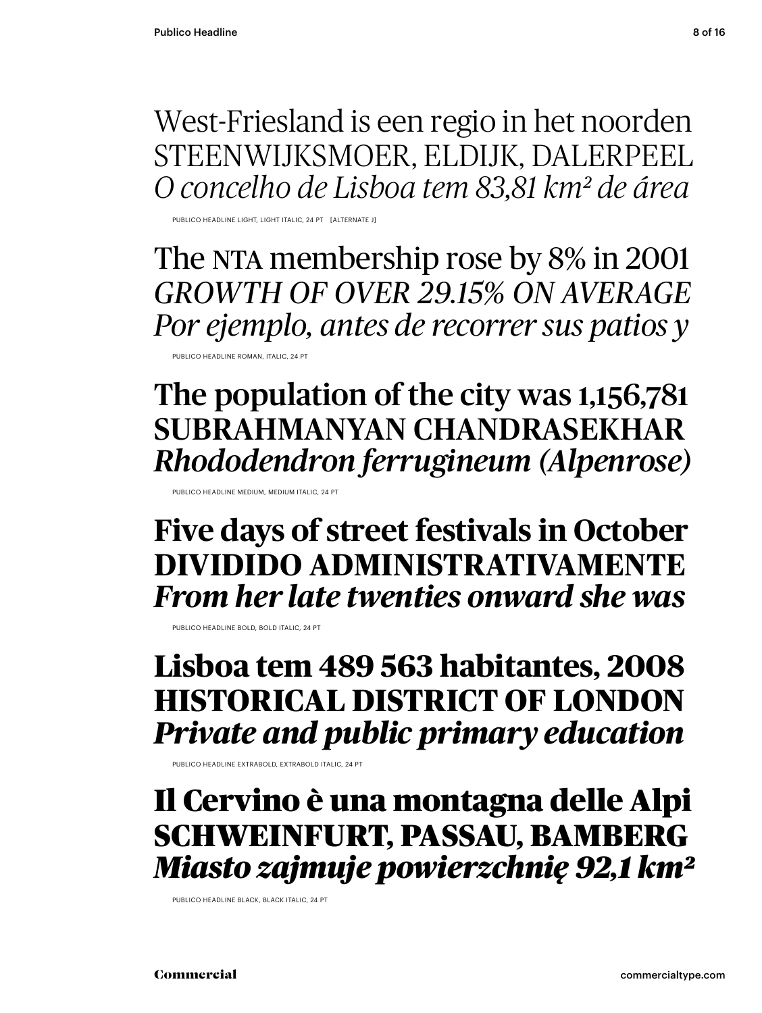West-Friesland is een regio in het noorden STEENWIJKSMOER, ELDIJK, DALERPEEL *O concelho de Lisboa tem 83,81 km² de área*

PUBLICO HEADLINE LIGHT, LIGHT ITALIC, 24 PT [ALTERNATE J]

The NTA membership rose by 8% in 2001 *GROWTH OF OVER 29.15% ON AVERAGE Por ejemplo, antes de recorrer sus patios y*

PUBLICO HEADLINE ROMAN, ITALIC, 24 PT

The population of the city was 1,156,781 SUBRAHMANYAN CHANDRASEKHAR *Rhododendron ferrugineum (Alpenrose)*

PUBLICO HEADLINE MEDIUM, MEDIUM ITALIC, 24 PT

**Five days of street festivals in October DIVIDIDO ADMINISTRATIVAMENTE** *From her late twenties onward she was* 

PUBLICO HEADLINE BOLD, BOLD ITALIC, 24 PT

**Lisboa tem 489 563 habitantes, 2008 HISTORICAL DISTRICT OF LONDON**  *Private and public primary education*

PUBLICO HEADLINE EXTRABOLD, EXTRABOLD ITALIC, 24 PT

Il Cervino è una montagna delle Alpi SCHWEINFURT, PASSAU, BAMBERG *Miasto zajmuje powierzchnię 92,1 km²*

PUBLICO HEADLINE BLACK, BLACK ITALIC, 24 PT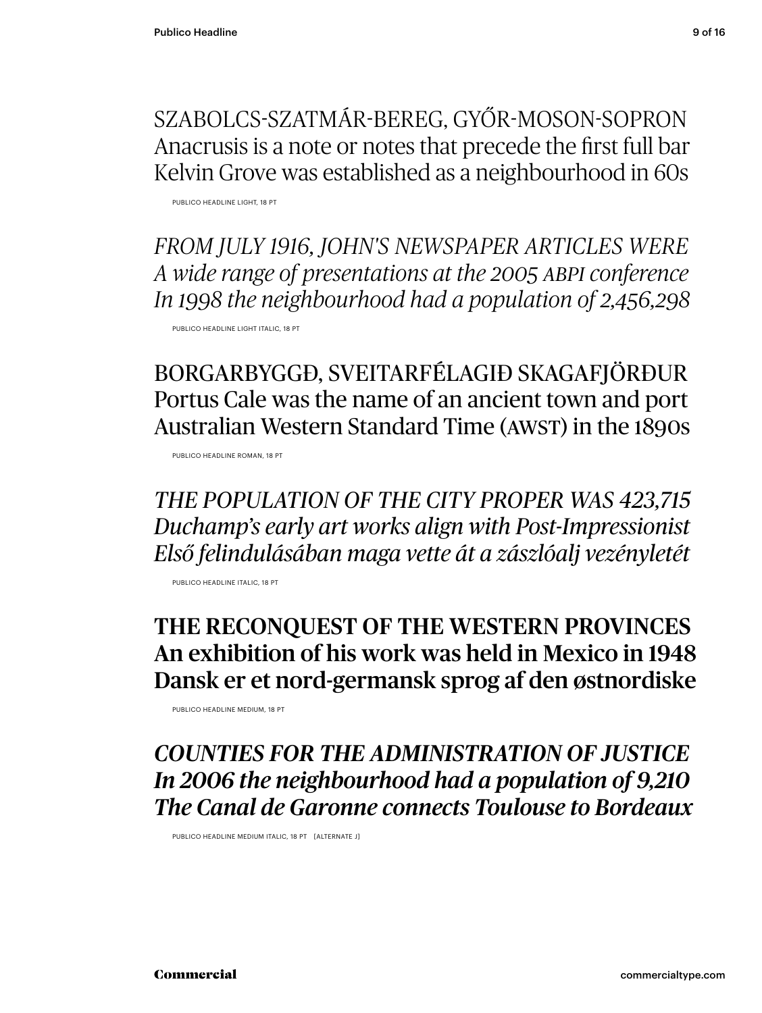SZABOLCS-SZATMÁR-BEREG, GYŐR-MOSON-SOPRON Anacrusis is a note or notes that precede the first full bar Kelvin Grove was established as a neighbourhood in 60s

PUBLICO HEADLINE LIGHT, 18 PT

*FROM JULY 1916, JOHN'S NEWSPAPER ARTICLES WERE A wide range of presentations at the 2005 ABPI conference In 1998 the neighbourhood had a population of 2,456,298*

PUBLICO HEADLINE LIGHT ITALIC, 18 PT

BORGARBYGGÐ, SVEITARFÉLAGIÐ SKAGAFJÖRÐUR Portus Cale was the name of an ancient town and port Australian Western Standard Time (AWST) in the 1890s

PUBLICO HEADLINE ROMAN, 18 PT

*THE POPULATION OF THE CITY PROPER WAS 423,715 Duchamp's early art works align with Post-Impressionist Első felindulásában maga vette át a zászlóalj vezényletét*

PUBLICO HEADLINE ITALIC, 18 PT

### THE RECONQUEST OF THE WESTERN PROVINCES An exhibition of his work was held in Mexico in 1948 Dansk er et nord-germansk sprog af den østnordiske

PUBLICO HEADLINE MEDIUM, 18 PT

*COUNTIES FOR THE ADMINISTRATION OF JUSTICE In 2006 the neighbourhood had a population of 9,210 The Canal de Garonne connects Toulouse to Bordeaux*

PUBLICO HEADLINE MEDIUM ITALIC, 18 PT [ALTERNATE J]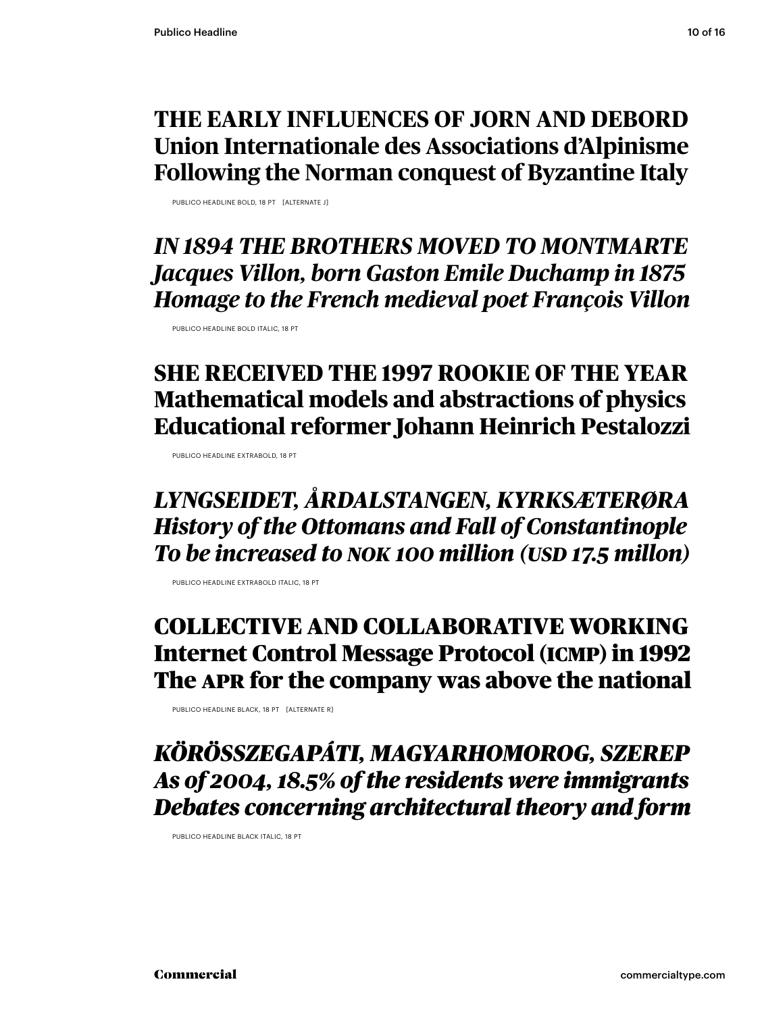### **THE EARLY INFLUENCES OF JORN AND DEBORD Union Internationale des Associations d'Alpinisme Following the Norman conquest of Byzantine Italy**

PUBLICO HEADLINE BOLD, 18 PT [ALTERNATE J]

*IN 1894 THE BROTHERS MOVED TO MONTMARTE Jacques Villon, born Gaston Emile Duchamp in 1875 Homage to the French medieval poet François Villon*

PUBLICO HEADLINE BOLD ITALIC, 18 PT

### **SHE RECEIVED THE 1997 ROOKIE OF THE YEAR Mathematical models and abstractions of physics Educational reformer Johann Heinrich Pestalozzi**

PUBLICO HEADLINE EXTRABOLD, 18 PT

### *LYNGSEIDET, ÅRDALSTANGEN, KYRKSÆTERØRA History of the Ottomans and Fall of Constantinople To be increased to NOK 100 million (USD 17.5 millon)*

PUBLICO HEADLINE EXTRABOLD ITALIC, 18 PT

### COLLECTIVE AND COLLABORATIVE WORKING Internet Control Message Protocol (ICMP) in 1992 The APR for the company was above the national

PUBLICO HEADLINE BLACK, 18 PT [ALTERNATE R]

*KÖRÖSSZEGAPÁTI, MAGYARHOMOROG, SZEREP As of 2004, 18.5% of the residents were immigrants Debates concerning architectural theory and form* 

PUBLICO HEADLINE BLACK ITALIC, 18 PT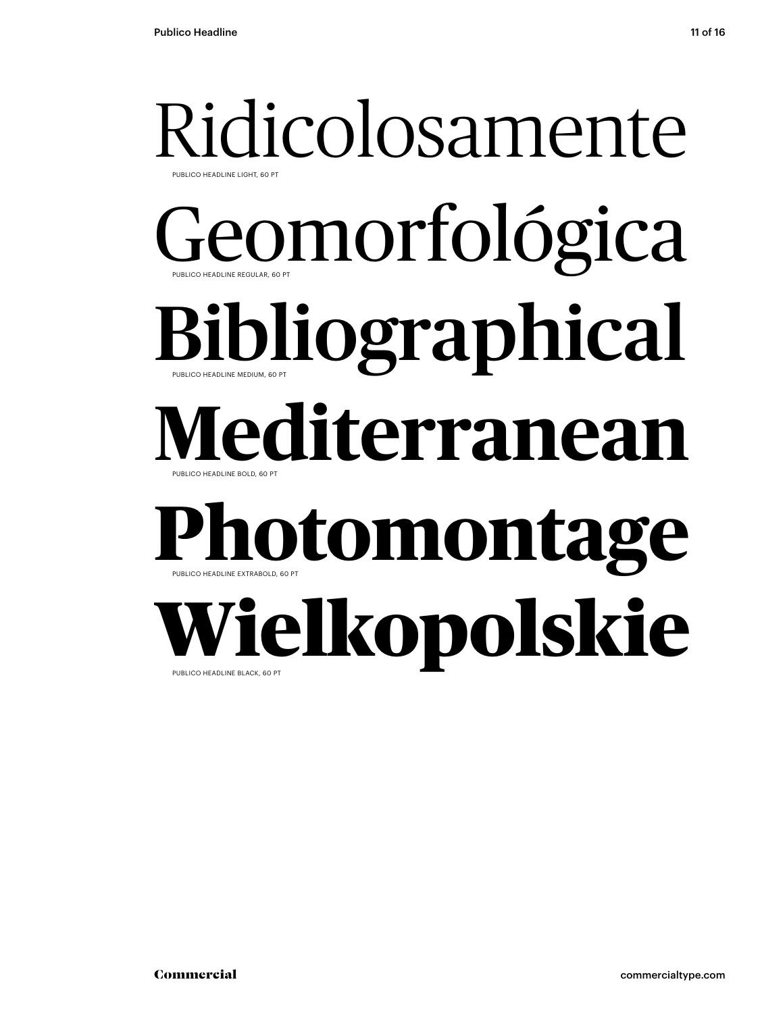### Ridicolosamente PUBLICO HEADLINE REGULAR, 60 PT PUBLICO HEADLINE LIGHT, 60 PT Geomorfológica Bibliographical PUBLICO HEADLINE BOLD, 60 PT PUBLICO HEADLINE MEDIUM, 60 PT **Mediterranean Photomontage** PUBLICO HEADLINE EXTRABOLD, 60 PT Wielkopolskie

PUBLICO HEADLINE BLACK, 60 PT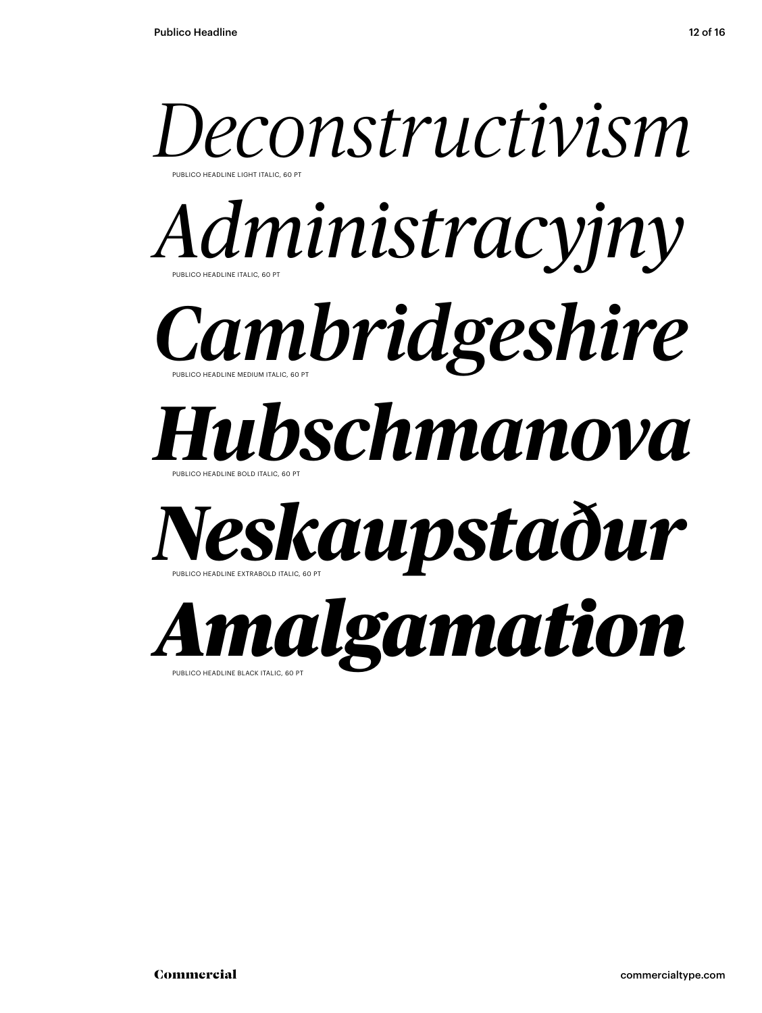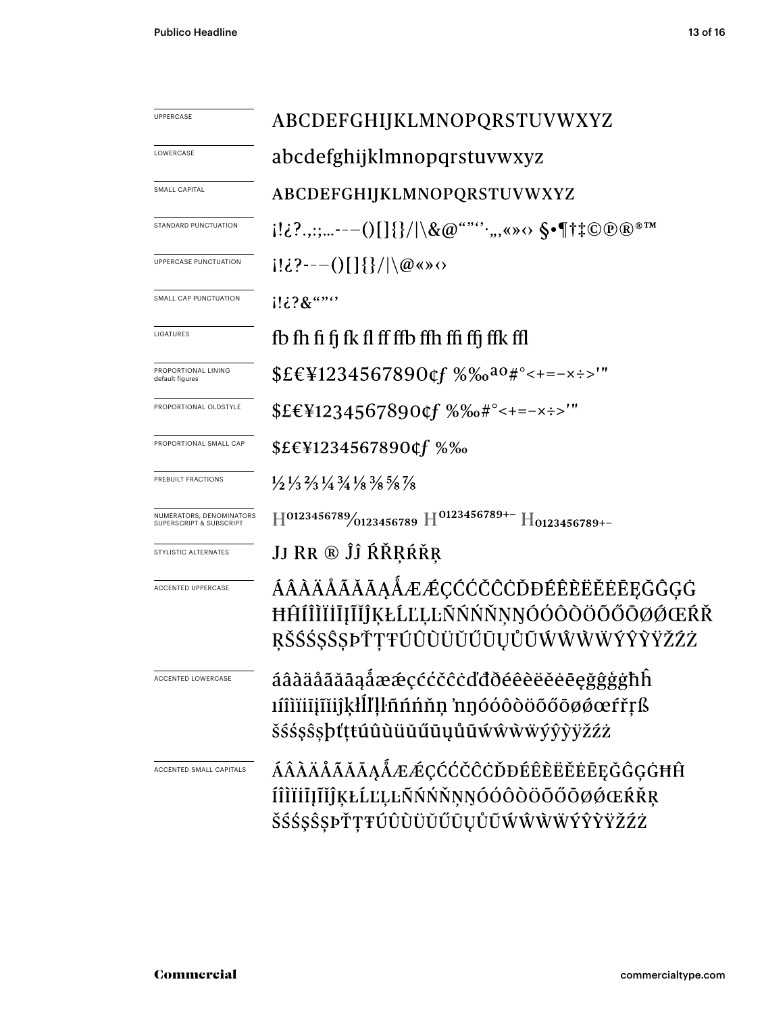| <b>UPPERCASE</b>                                               | ABCDEFGHIJKLMNOPQRSTUVWXYZ                                                                                                         |
|----------------------------------------------------------------|------------------------------------------------------------------------------------------------------------------------------------|
| LOWERCASE                                                      | abcdefghijklmnopqrstuvwxyz                                                                                                         |
| SMALL CAPITAL                                                  | ABCDEFGHIJKLMNOPQRSTUVWXYZ                                                                                                         |
| STANDARD PUNCTUATION                                           | $[!i \cdot 2 \cdot 1;  - -()[] \} /   \setminus \& @$ "", , , w $\circ \S$ $\P$ † $\ddagger \circ \circ \circ \circ \circ \bullet$ |
| UPPERCASE PUNCTUATION                                          | $i!\&3$ ---()[]{}/ \@ <> \cdots                                                                                                    |
| SMALL CAP PUNCTUATION                                          | $1!i$ ? $8$ $\cdots$                                                                                                               |
| LIGATURES                                                      | fb fh fi fj fk fl ff ffb ffh ffi ffj ffk ffl                                                                                       |
| PROPORTIONAL LINING<br>default figures                         | $$EE\Pi234567890$ of $%$ % $a_0$ #°<+=-x :->'"                                                                                     |
| PROPORTIONAL OLDSTYLE                                          | $$EEY1234567890$ of $%%e^{+}$ = - $\times$ : $"$                                                                                   |
| PROPORTIONAL SMALL CAP                                         | \$£€¥1234567890¢f %‰                                                                                                               |
| PREBUILT FRACTIONS                                             | $\frac{1}{2}\frac{1}{3}\frac{2}{3}\frac{1}{4}\frac{3}{4}\frac{1}{8}\frac{8}{8}\frac{5}{8}\frac{7}{8}$                              |
| NUMERATORS, DENOMINATORS<br><b>SUPERSCRIPT &amp; SUBSCRIPT</b> | $H^{0123456789}/_{0123456789}$ H <sup>0123456789+-</sup> H <sub>0123456789+-</sub>                                                 |
| STYLISTIC ALTERNATES                                           | JJ RR ® ĴĴ ŔŘŖŔŘŖ                                                                                                                  |
| <b>ACCENTED UPPERCASE</b>                                      | ÁÂÀÄÅÃĂĀĄÅÆÆÇĆĆČĈÒĐÉÊÈËËĖĒĘĞĜĢĠ<br>ĦĤÍÎÌĬĬĪĮĨĬĴĶŁĹĽĻĿÑŃŃŇŅŊÓÓÔŎŎŐŎØØŒŔŘ<br>ŖŠŚŚŞŜŞÞŤŢŦŨÛÙŬŬŰŨŲŮŨŴŴŴŴŶŶŸŽŹŻ                         |
|                                                                | áâàäåãăāąåææçććčĉċďđðéêèëěēęğĝģġħĥ<br>ıíîìïiījīĭijkłĺľḷŀñńńňņ 'nŋóóôòöõőōøøœŕřŗß<br>šśśşŝşþťṭŧúûùüŭűūųůũẃŵẁẅýŷỳÿžźż                |
| ACCENTED SMALL CAPITALS                                        | ÁÂÀÄÅÃĂĀĄÅÆÆÇĆĆČĈÒĐÉÊÈËĔĖĒĘĞĜĢĠĦĤ<br>ÍÎÌÏİİJĨĬĴĶŁĹĽĻĿÑŃŃŇŅŊÓÓÔÖŐŐŐØØŒŔŘŖ<br>ŠŚŚŞŜŞÞŤŢŦÚÛÙÜŬŰŪŲŮŨŴŴŴŴÝŶŶŸŽŹŻ                        |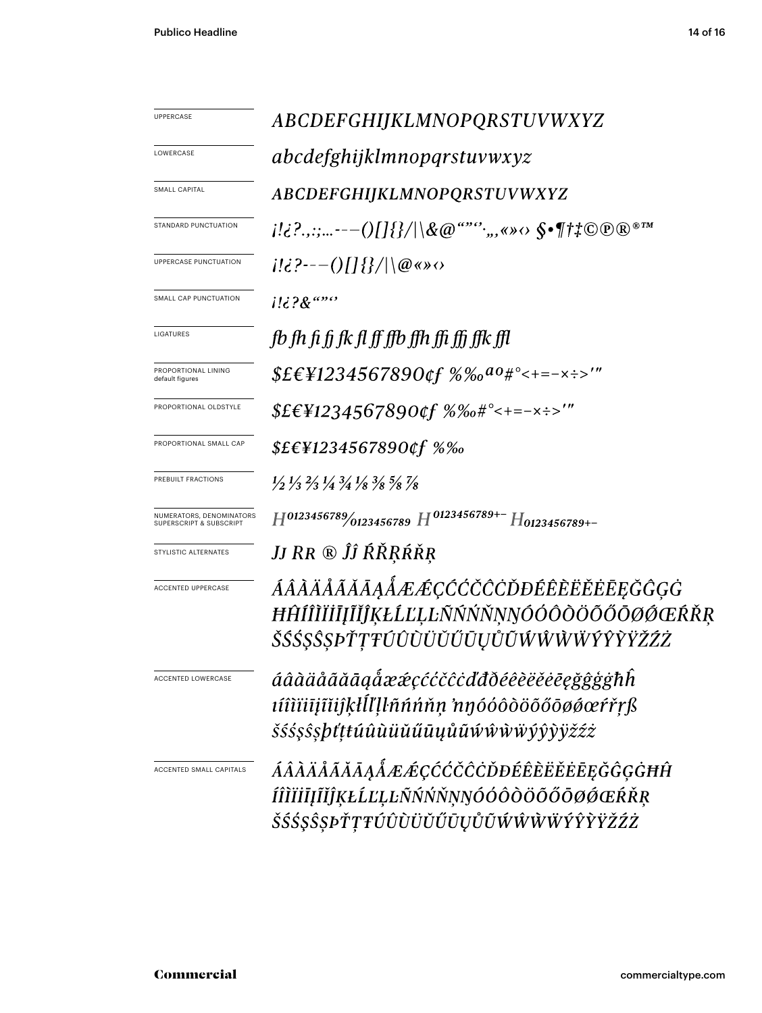| UPPERCASE                                           | ABCDEFGHIJKLMNOPQRSTUVWXYZ                                                                                                    |
|-----------------------------------------------------|-------------------------------------------------------------------------------------------------------------------------------|
| LOWERCASE                                           | <i>abcdefghijklmnopqrstuvwxyz</i>                                                                                             |
| SMALL CAPITAL                                       | ABCDEFGHIJKLMNOPQRSTUVWXYZ                                                                                                    |
| STANDARD PUNCTUATION                                |                                                                                                                               |
| UPPERCASE PUNCTUATION                               | $i! \in ?--()[]$ {}/ \@«»                                                                                                     |
| SMALL CAP PUNCTUATION                               | i!¿?&""''                                                                                                                     |
| LIGATURES                                           | fb fh fi fi fk fl ff ffb ffh ffi ffj ffk ffl                                                                                  |
| PROPORTIONAL LINING<br>default figures              | $$EEY1234567890$ of $%%a0*^{\circ}<+=-x:-$                                                                                    |
| PROPORTIONAL OLDSTYLE                               | $$EEY1234567890$ of $%6e^{4^{\circ}z}=-x:-''$                                                                                 |
| PROPORTIONAL SMALL CAP                              | \$£€¥1234567890¢f %‰                                                                                                          |
| PREBUILT FRACTIONS                                  | $\frac{1}{2}$ $\frac{1}{3}$ $\frac{2}{3}$ $\frac{1}{4}$ $\frac{3}{4}$ $\frac{1}{8}$ $\frac{3}{8}$ $\frac{5}{8}$ $\frac{7}{8}$ |
| NUMERATORS, DENOMINATORS<br>SUPERSCRIPT & SUBSCRIPT | $H^{0123456789}$ 0123456789 $H^{0123456789+-}$ H0123456789+-                                                                  |
| STYLISTIC ALTERNATES                                | JJ RR ® ĴĴ ŔŘŖŔŘŖ                                                                                                             |
| ACCENTED UPPERCASE                                  | ÁÂÀÄÅÃĂĀĀĄÅÆÆÇĆĆČĈĎĐÉÊÈËĔĖĒĘĞĜĢĠ<br>ĦĤÍÎÌĬĬĪĬĬĴĶŁĹĽĻĿÑŃŃŇŅŊÓÓÔŎŎŐŐØØŒŔŘŖ<br>ŠŚŚ\$\$\$\$PŤŢŦÚÛÙÜŬŰŨŲŮŨŴŴŴŴŶŶŶŸŽŹŻ              |
| ACCENTED LOWERCASE                                  | áâàäåãăāąåææçććčĉċďđðéêèëěēęğĝģġħĥ<br>tíîìïiījĩĭiĵķłĺľḷŀñńńňṇ 'nŋóóôòöõőōøøœŕřŗß<br><i>šśśş</i> ŝşþťṭŧúûùüŭűūųůũẃŵŵẅýŷỳÿžźż   |
| ACCENTED SMALL CAPITALS                             | ÁÂÀÄÅÃĂĀĄÅÆÆÇĆĆČĈÒĐÉÊÈËĔĔĒĘĞĜĢĠĦĤ<br>ÍÎÌÏİĪJĨĬĴĶŁĹĽĻĿÑŃŃŇŅŊÓÓÔÒÖŐŐŌØŐŒŔŘŖ<br><i>ŠŚŚŞŜŞÞŤŢŦÚÛÙŬŬŰŪŲŮŨŴŴŴŴÝŶŶŸŽŹŻ</i>           |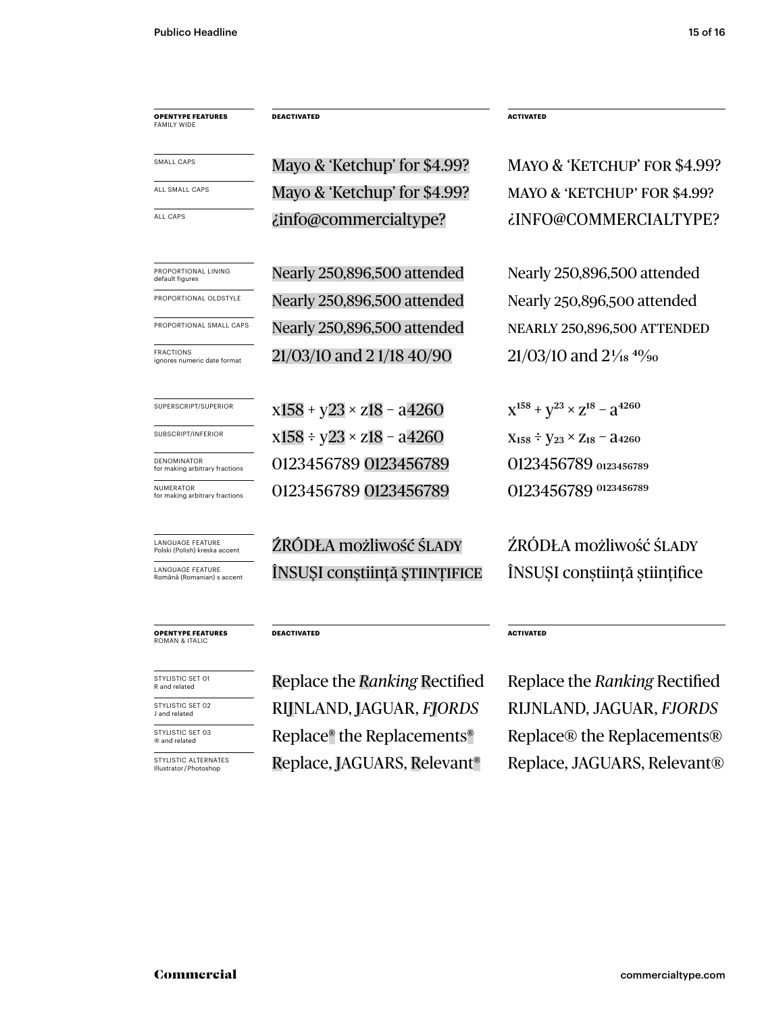**OPENTYPE FEATURES** FAMILY WIDE

PROPORTIONAL LINING<br>default figures Nearly 250,896,500 attended Nearly 250,896,500 attended FRACTIONS<br>ignores numeric date format  $21/03/10$  and  $21/18$  40/90  $21/03/10$  and  $21/18$   $40/90$ ALL CAPS *info@commercialtype? info@commercialtype info* SUPERSCRIPT/SUPERIOR  $X158 + y23 \times z18 - a4260$   $X^{158} + y^{23} \times z^{18} - a^{4260}$ SUBSCRIPT/INFERIOR  $X158 \div y23 \times z18 - a4260$   $X_{158} \div y_{23} \times z_{18} - a4260$ SMALL CAPS Mayo & 'Ketchup' for \$4.99? MAYO & 'KETCHUP' FOR \$4.99? ALL SMALL CAPS Mayo & 'Ketchup' for \$4.99? MAYO & 'KETCHUP' FOR \$4.99? PROPORTIONAL OLDSTYLE Nearly 250,896,500 attended Nearly 250,896,500 attended PROPORTIONAL SMALL CAPS Nearly 250,896,500 attended NEARLY 250,896,500 ATTENDED

**DEACTIVATED ACTIVATED** 

0123456789 0123456789 0123456789 0123456789 for making arbitrary fractions 0123456789 0123456789 0123456789 0123456789

ŹRÓDŁA możliwość ŚLADY ŻRÓDŁA możliwość ŚLADY LANGUAGE FEATURE ÎNSUȘI conștiință științing în INSUȘI conștiința științifice

**OPENTYPE FEATURES** ROMAN & ITALIC

NUMERATOR<br>for making arbitrary fractions

LANGUAGE FEATURE<br>Polski (Polish) kreska accen

LANGUAGE FEATURE

DENOMINATOR<br>for making arbitrary fractions

STYLISTIC SET 01<br>R and related

STYLISTIC SET 02<br>J and related

STYLISTIC SET 03

STYLISTIC ALTERNATES<br>Illustrator / Photoshop

### **DEACTIVATED ACTIVATED**

Replace, JAGUARS, Relevant<sup>®</sup> Replace, JAGUARS, Relevant® J and related RIJNLAND, JAGUAR, *FJORDS* RIJNLAND, JAGUAR, *FJORDS*  $\mathbb{R}^{\text{STVLISTIC SET 03}}$  Replace® the Replacements® Replace® the Replacements®

Replace the *Ranking* Rectified Replace the *Ranking* Rectified